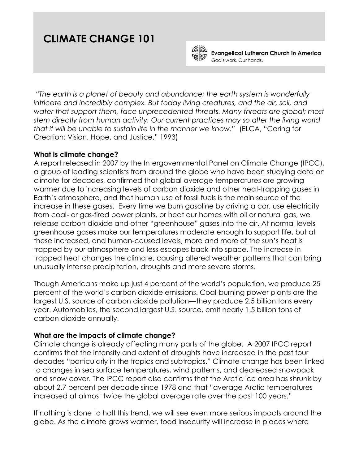# **CLIMATE CHANGE 101**



**Evangelical Lutheran Church in America** God's work. Our hands.

*"The earth is a planet of beauty and abundance; the earth system is wonderfully intricate and incredibly complex. But today living creatures, and the air, soil, and*  water that support them, face unprecedented threats. Many threats are global; most *stem directly from human activity. Our current practices may so alter the living world that it will be unable to sustain life in the manner we know."* (ELCA, "Caring for Creation: Vision, Hope, and Justice," 1993)

### **What is climate change?**

A report released in 2007 by the Intergovernmental Panel on Climate Change (IPCC), a group of leading scientists from around the globe who have been studying data on climate for decades, confirmed that global average temperatures are growing warmer due to increasing levels of carbon dioxide and other heat-trapping gases in Earth's atmosphere, and that human use of fossil fuels is the main source of the increase in these gases. Every time we burn gasoline by driving a car, use electricity from coal- or gas-fired power plants, or heat our homes with oil or natural gas, we release carbon dioxide and other "greenhouse" gases into the air. At normal levels greenhouse gases make our temperatures moderate enough to support life, but at these increased, and human-caused levels, more and more of the sun's heat is trapped by our atmosphere and less escapes back into space. The increase in trapped heat changes the climate, causing altered weather patterns that can bring unusually intense precipitation, droughts and more severe storms.

Though Americans make up just 4 percent of the world's population, we produce 25 percent of the world's carbon dioxide emissions. Coal-burning power plants are the largest U.S. source of carbon dioxide pollution—they produce 2.5 billion tons every year. Automobiles, the second largest U.S. source, emit nearly 1.5 billion tons of carbon dioxide annually.

# **What are the impacts of climate change?**

Climate change is already affecting many parts of the globe. A 2007 IPCC report confirms that the intensity and extent of droughts have increased in the past four decades "particularly in the tropics and subtropics." Climate change has been linked to changes in sea surface temperatures, wind patterns, and decreased snowpack and snow cover. The IPCC report also confirms that the Arctic ice area has shrunk by about 2.7 percent per decade since 1978 and that "average Arctic temperatures increased at almost twice the global average rate over the past 100 years."

If nothing is done to halt this trend, we will see even more serious impacts around the globe. As the climate grows warmer, food insecurity will increase in places where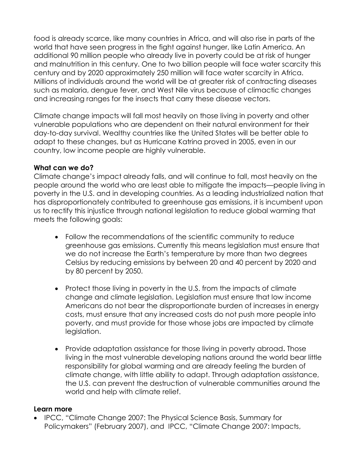food is already scarce, like many countries in Africa, and will also rise in parts of the world that have seen progress in the fight against hunger, like Latin America. An additional 90 million people who already live in poverty could be at risk of hunger and malnutrition in this century. One to two billion people will face water scarcity this century and by 2020 approximately 250 million will face water scarcity in Africa. Millions of individuals around the world will be at greater risk of contracting diseases such as malaria, dengue fever, and West Nile virus because of climactic changes and increasing ranges for the insects that carry these disease vectors.

Climate change impacts will fall most heavily on those living in poverty and other vulnerable populations who are dependent on their natural environment for their day-to-day survival. Wealthy countries like the United States will be better able to adapt to these changes, but as Hurricane Katrina proved in 2005, even in our country, low income people are highly vulnerable.

# **What can we do?**

Climate change's impact already falls, and will continue to fall, most heavily on the people around the world who are least able to mitigate the impacts—people living in poverty in the U.S. and in developing countries. As a leading industrialized nation that has disproportionately contributed to greenhouse gas emissions, it is incumbent upon us to rectify this injustice through national legislation to reduce global warming that meets the following goals:

- Follow the recommendations of the scientific community to reduce greenhouse gas emissions. Currently this means legislation must ensure that we do not increase the Earth's temperature by more than two degrees Celsius by reducing emissions by between 20 and 40 percent by 2020 and by 80 percent by 2050.
- Protect those living in poverty in the U.S. from the impacts of climate change and climate legislation. Legislation must ensure that low income Americans do not bear the disproportionate burden of increases in energy costs, must ensure that any increased costs do not push more people into poverty, and must provide for those whose jobs are impacted by climate legislation.
- Provide adaptation assistance for those living in poverty abroad**.** Those living in the most vulnerable developing nations around the world bear little responsibility for global warming and are already feeling the burden of climate change, with little ability to adapt. Through adaptation assistance, the U.S. can prevent the destruction of vulnerable communities around the world and help with climate relief.

### **Learn more**

• IPCC, "Climate Change 2007: The Physical Science Basis, Summary for Policymakers" (February 2007), and IPCC, "Climate Change 2007: Impacts,